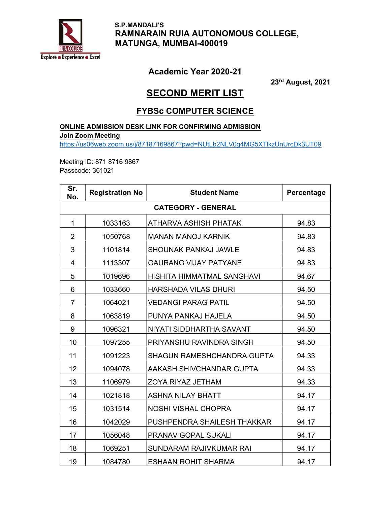

 S.P.MANDALI'S RAMNARAIN RUIA AUTONOMOUS COLLEGE, MATUNGA, MUMBAI-400019

## Academic Year 2020-21

23rd August, 2021

## **SECOND MERIT LIST**

## FYBSc COMPUTER SCIENCE

ONLINE ADMISSION DESK LINK FOR CONFIRMING ADMISSION

Join Zoom Meeting

https://us06web.zoom.us/j/87187169867?pwd=NUtLb2NLV0g4MG5XTlkzUnUrcDk3UT09

Meeting ID: 871 8716 9867 Passcode: 361021

| Sr.<br>No.                | <b>Registration No</b> | <b>Student Name</b>               | Percentage |  |  |
|---------------------------|------------------------|-----------------------------------|------------|--|--|
| <b>CATEGORY - GENERAL</b> |                        |                                   |            |  |  |
| $\mathbf 1$               | 1033163                | ATHARVA ASHISH PHATAK             | 94.83      |  |  |
| $\overline{2}$            | 1050768                | <b>MANAN MANOJ KARNIK</b>         | 94.83      |  |  |
| 3                         | 1101814                | <b>SHOUNAK PANKAJ JAWLE</b>       | 94.83      |  |  |
| $\overline{4}$            | 1113307                | <b>GAURANG VIJAY PATYANE</b>      | 94.83      |  |  |
| 5                         | 1019696                | HISHITA HIMMATMAL SANGHAVI        | 94.67      |  |  |
| 6                         | 1033660                | <b>HARSHADA VILAS DHURI</b>       | 94.50      |  |  |
| 7                         | 1064021                | <b>VEDANGI PARAG PATIL</b>        | 94.50      |  |  |
| 8                         | 1063819                | PUNYA PANKAJ HAJELA               | 94.50      |  |  |
| 9                         | 1096321                | NIYATI SIDDHARTHA SAVANT          | 94.50      |  |  |
| 10                        | 1097255                | PRIYANSHU RAVINDRA SINGH          | 94.50      |  |  |
| 11                        | 1091223                | <b>SHAGUN RAMESHCHANDRA GUPTA</b> | 94.33      |  |  |
| 12                        | 1094078                | AAKASH SHIVCHANDAR GUPTA          | 94.33      |  |  |
| 13                        | 1106979                | ZOYA RIYAZ JETHAM                 | 94.33      |  |  |
| 14                        | 1021818                | <b>ASHNA NILAY BHATT</b>          | 94.17      |  |  |
| 15                        | 1031514                | <b>NOSHI VISHAL CHOPRA</b>        | 94.17      |  |  |
| 16                        | 1042029                | PUSHPENDRA SHAILESH THAKKAR       | 94.17      |  |  |
| 17                        | 1056048                | PRANAV GOPAL SUKALI               | 94.17      |  |  |
| 18                        | 1069251                | SUNDARAM RAJIVKUMAR RAI           | 94.17      |  |  |
| 19                        | 1084780                | <b>ESHAAN ROHIT SHARMA</b>        | 94.17      |  |  |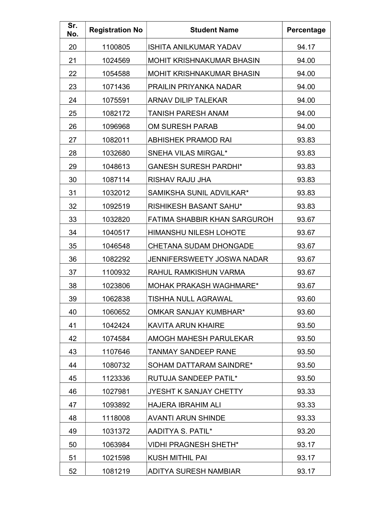| Sr.<br>No. | <b>Registration No</b> | <b>Student Name</b>                 | Percentage |
|------------|------------------------|-------------------------------------|------------|
| 20         | 1100805                | <b>ISHITA ANILKUMAR YADAV</b>       | 94.17      |
| 21         | 1024569                | <b>MOHIT KRISHNAKUMAR BHASIN</b>    | 94.00      |
| 22         | 1054588                | <b>MOHIT KRISHNAKUMAR BHASIN</b>    | 94.00      |
| 23         | 1071436                | PRAILIN PRIYANKA NADAR              | 94.00      |
| 24         | 1075591                | <b>ARNAV DILIP TALEKAR</b>          | 94.00      |
| 25         | 1082172                | <b>TANISH PARESH ANAM</b>           | 94.00      |
| 26         | 1096968                | <b>OM SURESH PARAB</b>              | 94.00      |
| 27         | 1082011                | ABHISHEK PRAMOD RAI                 | 93.83      |
| 28         | 1032680                | <b>SNEHA VILAS MIRGAL*</b>          | 93.83      |
| 29         | 1048613                | <b>GANESH SURESH PARDHI*</b>        | 93.83      |
| 30         | 1087114                | <b>RISHAV RAJU JHA</b>              | 93.83      |
| 31         | 1032012                | SAMIKSHA SUNIL ADVILKAR*            | 93.83      |
| 32         | 1092519                | RISHIKESH BASANT SAHU*              | 93.83      |
| 33         | 1032820                | <b>FATIMA SHABBIR KHAN SARGUROH</b> | 93.67      |
| 34         | 1040517                | <b>HIMANSHU NILESH LOHOTE</b>       | 93.67      |
| 35         | 1046548                | <b>CHETANA SUDAM DHONGADE</b>       | 93.67      |
| 36         | 1082292                | <b>JENNIFERSWEETY JOSWA NADAR</b>   | 93.67      |
| 37         | 1100932                | RAHUL RAMKISHUN VARMA               | 93.67      |
| 38         | 1023806                | <b>MOHAK PRAKASH WAGHMARE*</b>      | 93.67      |
| 39         | 1062838                | <b>TISHHA NULL AGRAWAL</b>          | 93.60      |
| 40         | 1060652                | OMKAR SANJAY KUMBHAR*               | 93.60      |
| 41         | 1042424                | <b>KAVITA ARUN KHAIRE</b>           | 93.50      |
| 42         | 1074584                | <b>AMOGH MAHESH PARULEKAR</b>       | 93.50      |
| 43         | 1107646                | <b>TANMAY SANDEEP RANE</b>          | 93.50      |
| 44         | 1080732                | SOHAM DATTARAM SAINDRE*             | 93.50      |
| 45         | 1123336                | RUTUJA SANDEEP PATIL*               | 93.50      |
| 46         | 1027981                | JYESHT K SANJAY CHETTY              | 93.33      |
| 47         | 1093892                | <b>HAJERA IBRAHIM ALI</b>           | 93.33      |
| 48         | 1118008                | <b>AVANTI ARUN SHINDE</b>           | 93.33      |
| 49         | 1031372                | AADITYA S. PATIL*                   | 93.20      |
| 50         | 1063984                | <b>VIDHI PRAGNESH SHETH*</b>        | 93.17      |
| 51         | 1021598                | <b>KUSH MITHIL PAI</b>              | 93.17      |
| 52         | 1081219                | ADITYA SURESH NAMBIAR               | 93.17      |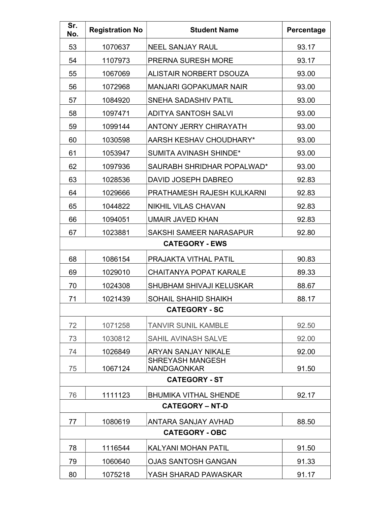| Sr.<br>No.            | <b>Registration No</b> | <b>Student Name</b>                           | Percentage |  |  |
|-----------------------|------------------------|-----------------------------------------------|------------|--|--|
| 53                    | 1070637                | <b>NEEL SANJAY RAUL</b>                       | 93.17      |  |  |
| 54                    | 1107973                | <b>PRERNA SURESH MORE</b>                     | 93.17      |  |  |
| 55                    | 1067069                | <b>ALISTAIR NORBERT DSOUZA</b>                | 93.00      |  |  |
| 56                    | 1072968                | <b>MANJARI GOPAKUMAR NAIR</b>                 | 93.00      |  |  |
| 57                    | 1084920                | SNEHA SADASHIV PATIL                          | 93.00      |  |  |
| 58                    | 1097471                | <b>ADITYA SANTOSH SALVI</b>                   | 93.00      |  |  |
| 59                    | 1099144                | <b>ANTONY JERRY CHIRAYATH</b>                 | 93.00      |  |  |
| 60                    | 1030598                | AARSH KESHAV CHOUDHARY*                       | 93.00      |  |  |
| 61                    | 1053947                | <b>SUMITA AVINASH SHINDE*</b>                 | 93.00      |  |  |
| 62                    | 1097936                | SAURABH SHRIDHAR POPALWAD*                    | 93.00      |  |  |
| 63                    | 1028536                | DAVID JOSEPH DABREO                           | 92.83      |  |  |
| 64                    | 1029666                | PRATHAMESH RAJESH KULKARNI                    | 92.83      |  |  |
| 65                    | 1044822                | NIKHIL VILAS CHAVAN                           | 92.83      |  |  |
| 66                    | 1094051                | <b>UMAIR JAVED KHAN</b>                       | 92.83      |  |  |
| 67                    | 1023881                | <b>SAKSHI SAMEER NARASAPUR</b>                | 92.80      |  |  |
|                       |                        | <b>CATEGORY - EWS</b>                         |            |  |  |
| 68                    | 1086154                | PRAJAKTA VITHAL PATIL                         | 90.83      |  |  |
| 69                    | 1029010                | <b>CHAITANYA POPAT KARALE</b>                 | 89.33      |  |  |
| 70                    | 1024308                | <b>SHUBHAM SHIVAJI KELUSKAR</b>               | 88.67      |  |  |
| 71                    | 1021439                | SOHAIL SHAHID SHAIKH                          | 88.17      |  |  |
| <b>CATEGORY - SC</b>  |                        |                                               |            |  |  |
| 72                    | 1071258                | <b>TANVIR SUNIL KAMBLE</b>                    | 92.50      |  |  |
| 73                    | 1030812                | <b>SAHIL AVINASH SALVE</b>                    | 92.00      |  |  |
| 74                    | 1026849                | ARYAN SANJAY NIKALE                           | 92.00      |  |  |
| 75                    | 1067124                | <b>SHREYASH MANGESH</b><br><b>NANDGAONKAR</b> | 91.50      |  |  |
| <b>CATEGORY - ST</b>  |                        |                                               |            |  |  |
| 76                    | 1111123                | <b>BHUMIKA VITHAL SHENDE</b>                  | 92.17      |  |  |
|                       |                        | <b>CATEGORY – NT-D</b>                        |            |  |  |
| 77                    | 1080619                | ANTARA SANJAY AVHAD                           | 88.50      |  |  |
| <b>CATEGORY - OBC</b> |                        |                                               |            |  |  |
| 78                    | 1116544                | <b>KALYANI MOHAN PATIL</b>                    | 91.50      |  |  |
| 79                    | 1060640                | <b>OJAS SANTOSH GANGAN</b>                    | 91.33      |  |  |
| 80                    | 1075218                | YASH SHARAD PAWASKAR                          | 91.17      |  |  |